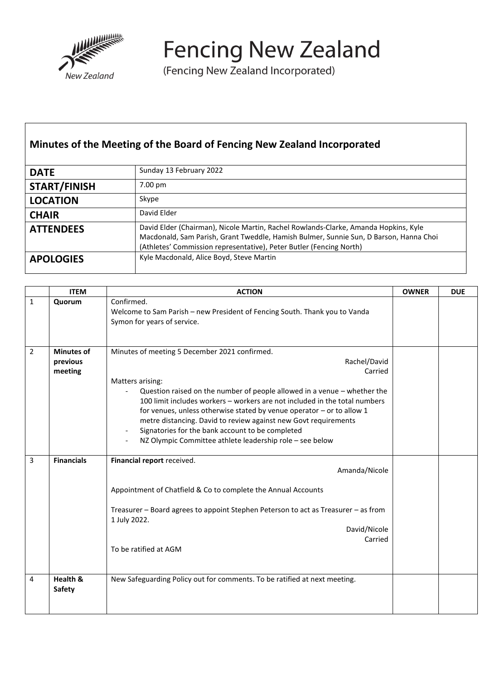

**Fencing New Zealand** 

(Fencing New Zealand Incorporated)

## **Minutes of the Meeting of the Board of Fencing New Zealand Incorporated**

| <b>DATE</b>         | Sunday 13 February 2022                                                                                                                                                                                                                             |
|---------------------|-----------------------------------------------------------------------------------------------------------------------------------------------------------------------------------------------------------------------------------------------------|
| <b>START/FINISH</b> | 7.00 pm                                                                                                                                                                                                                                             |
| <b>LOCATION</b>     | Skype                                                                                                                                                                                                                                               |
| <b>CHAIR</b>        | David Elder                                                                                                                                                                                                                                         |
| <b>ATTENDEES</b>    | David Elder (Chairman), Nicole Martin, Rachel Rowlands-Clarke, Amanda Hopkins, Kyle<br>Macdonald, Sam Parish, Grant Tweddle, Hamish Bulmer, Sunnie Sun, D Barson, Hanna Choi<br>(Athletes' Commission representative), Peter Butler (Fencing North) |
| <b>APOLOGIES</b>    | Kyle Macdonald, Alice Boyd, Steve Martin                                                                                                                                                                                                            |

|                | <b>ITEM</b>                              | <b>ACTION</b>                                                                                                                                                                                                                                                                                                                                                                                                                                                                                                        | <b>OWNER</b> | <b>DUE</b> |
|----------------|------------------------------------------|----------------------------------------------------------------------------------------------------------------------------------------------------------------------------------------------------------------------------------------------------------------------------------------------------------------------------------------------------------------------------------------------------------------------------------------------------------------------------------------------------------------------|--------------|------------|
| $\mathbf{1}$   | Quorum                                   | Confirmed.<br>Welcome to Sam Parish - new President of Fencing South. Thank you to Vanda<br>Symon for years of service.                                                                                                                                                                                                                                                                                                                                                                                              |              |            |
| $\overline{2}$ | <b>Minutes of</b><br>previous<br>meeting | Minutes of meeting 5 December 2021 confirmed.<br>Rachel/David<br>Carried<br>Matters arising:<br>Question raised on the number of people allowed in a venue - whether the<br>100 limit includes workers - workers are not included in the total numbers<br>for venues, unless otherwise stated by venue operator $-$ or to allow 1<br>metre distancing. David to review against new Govt requirements<br>Signatories for the bank account to be completed<br>NZ Olympic Committee athlete leadership role - see below |              |            |
| 3              | <b>Financials</b>                        | Financial report received.<br>Amanda/Nicole<br>Appointment of Chatfield & Co to complete the Annual Accounts<br>Treasurer - Board agrees to appoint Stephen Peterson to act as Treasurer - as from<br>1 July 2022.<br>David/Nicole<br>Carried<br>To be ratified at AGM                                                                                                                                                                                                                                               |              |            |
| 4              | Health &<br><b>Safety</b>                | New Safeguarding Policy out for comments. To be ratified at next meeting.                                                                                                                                                                                                                                                                                                                                                                                                                                            |              |            |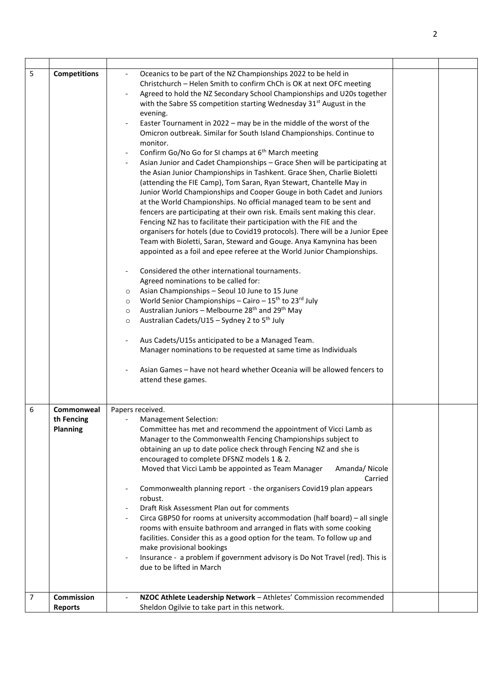| 5 | <b>Competitions</b>                         | Oceanics to be part of the NZ Championships 2022 to be held in<br>Christchurch - Helen Smith to confirm ChCh is OK at next OFC meeting<br>Agreed to hold the NZ Secondary School Championships and U20s together<br>with the Sabre SS competition starting Wednesday 31 <sup>st</sup> August in the<br>evening.<br>Easter Tournament in 2022 - may be in the middle of the worst of the<br>Omicron outbreak. Similar for South Island Championships. Continue to<br>monitor.<br>Confirm Go/No Go for SI champs at 6 <sup>th</sup> March meeting<br>Asian Junior and Cadet Championships - Grace Shen will be participating at<br>the Asian Junior Championships in Tashkent. Grace Shen, Charlie Bioletti<br>(attending the FIE Camp), Tom Saran, Ryan Stewart, Chantelle May in<br>Junior World Championships and Cooper Gouge in both Cadet and Juniors<br>at the World Championships. No official managed team to be sent and<br>fencers are participating at their own risk. Emails sent making this clear.<br>Fencing NZ has to facilitate their participation with the FIE and the<br>organisers for hotels (due to Covid19 protocols). There will be a Junior Epee<br>Team with Bioletti, Saran, Steward and Gouge. Anya Kamynina has been<br>appointed as a foil and epee referee at the World Junior Championships.<br>Considered the other international tournaments.<br>Agreed nominations to be called for:<br>Asian Championships - Seoul 10 June to 15 June<br>$\circ$<br>World Senior Championships - Cairo - $15^{th}$ to $23^{rd}$ July<br>$\circ$<br>Australian Juniors - Melbourne 28 <sup>th</sup> and 29 <sup>th</sup> May<br>$\circ$<br>Australian Cadets/U15 - Sydney 2 to 5 <sup>th</sup> July<br>$\circ$<br>Aus Cadets/U15s anticipated to be a Managed Team.<br>Manager nominations to be requested at same time as Individuals<br>Asian Games - have not heard whether Oceania will be allowed fencers to<br>attend these games. |  |
|---|---------------------------------------------|-------------------------------------------------------------------------------------------------------------------------------------------------------------------------------------------------------------------------------------------------------------------------------------------------------------------------------------------------------------------------------------------------------------------------------------------------------------------------------------------------------------------------------------------------------------------------------------------------------------------------------------------------------------------------------------------------------------------------------------------------------------------------------------------------------------------------------------------------------------------------------------------------------------------------------------------------------------------------------------------------------------------------------------------------------------------------------------------------------------------------------------------------------------------------------------------------------------------------------------------------------------------------------------------------------------------------------------------------------------------------------------------------------------------------------------------------------------------------------------------------------------------------------------------------------------------------------------------------------------------------------------------------------------------------------------------------------------------------------------------------------------------------------------------------------------------------------------------------------------------------------------------------------------------------------------------------------------|--|
| 6 | Commonweal<br>th Fencing<br><b>Planning</b> | Papers received.<br>Management Selection:<br>Committee has met and recommend the appointment of Vicci Lamb as<br>Manager to the Commonwealth Fencing Championships subject to<br>obtaining an up to date police check through Fencing NZ and she is<br>encouraged to complete DFSNZ models 1 & 2.<br>Moved that Vicci Lamb be appointed as Team Manager<br>Amanda/Nicole<br>Carried<br>Commonwealth planning report - the organisers Covid19 plan appears<br>robust.<br>Draft Risk Assessment Plan out for comments<br>Circa GBP50 for rooms at university accommodation (half board) - all single<br>rooms with ensuite bathroom and arranged in flats with some cooking<br>facilities. Consider this as a good option for the team. To follow up and<br>make provisional bookings<br>Insurance - a problem if government advisory is Do Not Travel (red). This is<br>due to be lifted in March                                                                                                                                                                                                                                                                                                                                                                                                                                                                                                                                                                                                                                                                                                                                                                                                                                                                                                                                                                                                                                                            |  |
| 7 | Commission<br><b>Reports</b>                | NZOC Athlete Leadership Network - Athletes' Commission recommended<br>Sheldon Ogilvie to take part in this network.                                                                                                                                                                                                                                                                                                                                                                                                                                                                                                                                                                                                                                                                                                                                                                                                                                                                                                                                                                                                                                                                                                                                                                                                                                                                                                                                                                                                                                                                                                                                                                                                                                                                                                                                                                                                                                         |  |